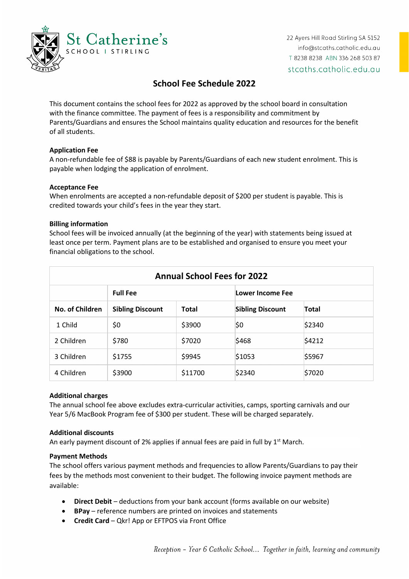

22 Ayers Hill Road Stirling SA 5152 info@stcaths.catholic.edu.au T 8238 8238 ABN 336 268 503 87 stcaths.catholic.edu.au

# **School Fee Schedule 2022**

This document contains the school fees for 2022 as approved by the school board in consultation with the finance committee. The payment of fees is a responsibility and commitment by Parents/Guardians and ensures the School maintains quality education and resources for the benefit of all students.

## **Application Fee**

A non-refundable fee of \$88 is payable by Parents/Guardians of each new student enrolment. This is payable when lodging the application of enrolment.

### **Acceptance Fee**

When enrolments are accepted a non-refundable deposit of \$200 per student is payable. This is credited towards your child's fees in the year they start.

### **Billing information**

School fees will be invoiced annually (at the beginning of the year) with statements being issued at least once per term. Payment plans are to be established and organised to ensure you meet your financial obligations to the school.

| <b>Annual School Fees for 2022</b> |                         |              |                         |              |  |  |  |  |
|------------------------------------|-------------------------|--------------|-------------------------|--------------|--|--|--|--|
|                                    | <b>Full Fee</b>         |              | Lower Income Fee        |              |  |  |  |  |
| No. of Children                    | <b>Sibling Discount</b> | <b>Total</b> | <b>Sibling Discount</b> | <b>Total</b> |  |  |  |  |
| 1 Child                            | \$0                     | \$3900       | \$0                     | \$2340       |  |  |  |  |
| 2 Children                         | \$780                   | \$7020       | \$468                   | \$4212       |  |  |  |  |
| 3 Children                         | \$1755                  | \$9945       | \$1053                  | \$5967       |  |  |  |  |
| 4 Children                         | \$3900                  | \$11700      | \$2340                  | \$7020       |  |  |  |  |

### **Additional charges**

The annual school fee above excludes extra-curricular activities, camps, sporting carnivals and our Year 5/6 MacBook Program fee of \$300 per student. These will be charged separately.

### **Additional discounts**

An early payment discount of 2% applies if annual fees are paid in full by  $1<sup>st</sup>$  March.

### **Payment Methods**

The school offers various payment methods and frequencies to allow Parents/Guardians to pay their fees by the methods most convenient to their budget. The following invoice payment methods are available:

- **Direct Debit** deductions from your bank account (forms available on our website)
- **BPay** reference numbers are printed on invoices and statements
- **Credit Card** Qkr! App or EFTPOS via Front Office